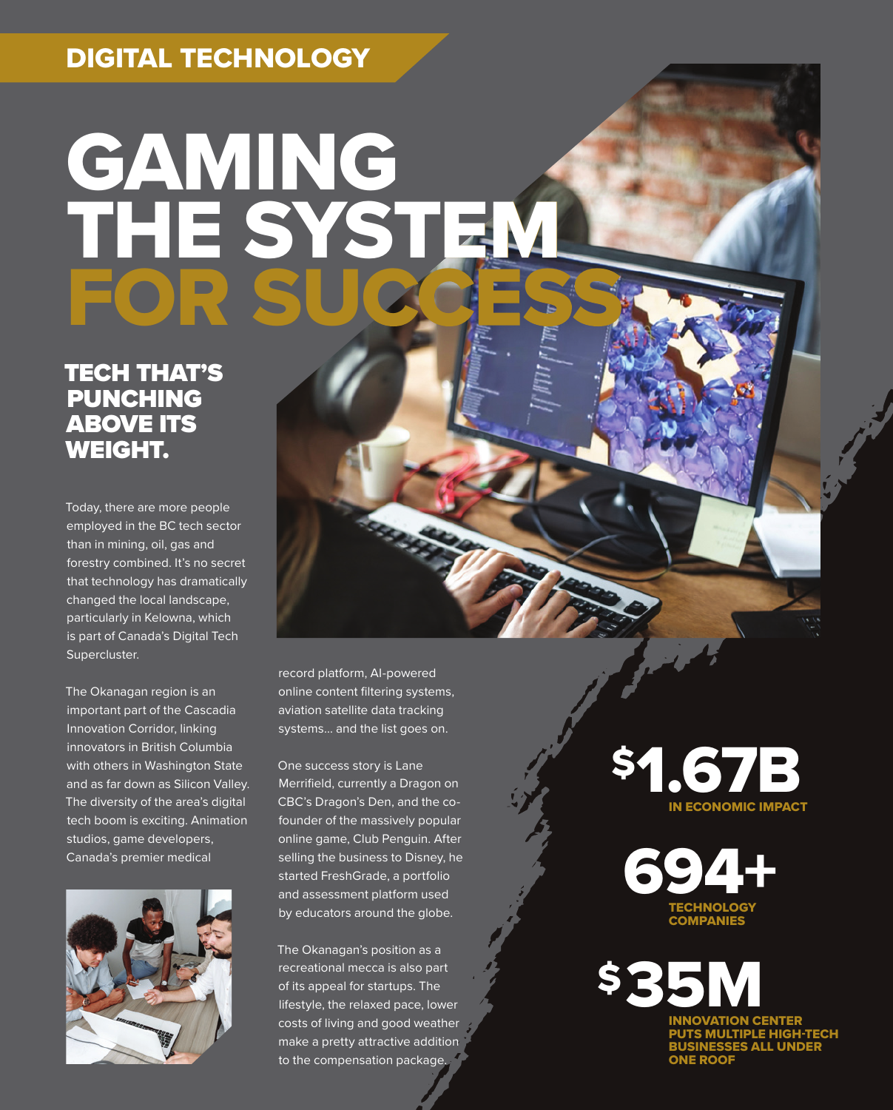#### DIGITAL TECHNOLOGY

# GAMING THE SYSTEM FOR SUCCESS

TECH THAT'S PUNCHING ABOVE ITS WEIGHT.

Today, there are more people employed in the BC tech sector than in mining, oil, gas and forestry combined. It's no secret that technology has dramatically changed the local landscape, particularly in Kelowna, which is part of Canada's Digital Tech Supercluster.

The Okanagan region is an important part of the Cascadia Innovation Corridor, linking innovators in British Columbia with others in Washington State and as far down as Silicon Valley. The diversity of the area's digital tech boom is exciting. Animation studios, game developers, Canada's premier medical



record platform, AI-powered online content filtering systems, aviation satellite data tracking systems… and the list goes on.

One success story is Lane Merrifield, currently a Dragon on CBC's Dragon's Den, and the cofounder of the massively popular online game, Club Penguin. After selling the business to Disney, he started FreshGrade, a portfolio and assessment platform used by educators around the globe.

The Okanagan's position as a recreational mecca is also part of its appeal for startups. The lifestyle, the relaxed pace, lower costs of living and good weather make a pretty attractive addition to the compensation package.

IN ECONOMIC IMPACT \$1.67B



INNOVATION CENTER PUTS MULTIPLE HIGH-TECH ..... \_\_ .......<br>ES ALL UNDER ONE ROOF **SB**